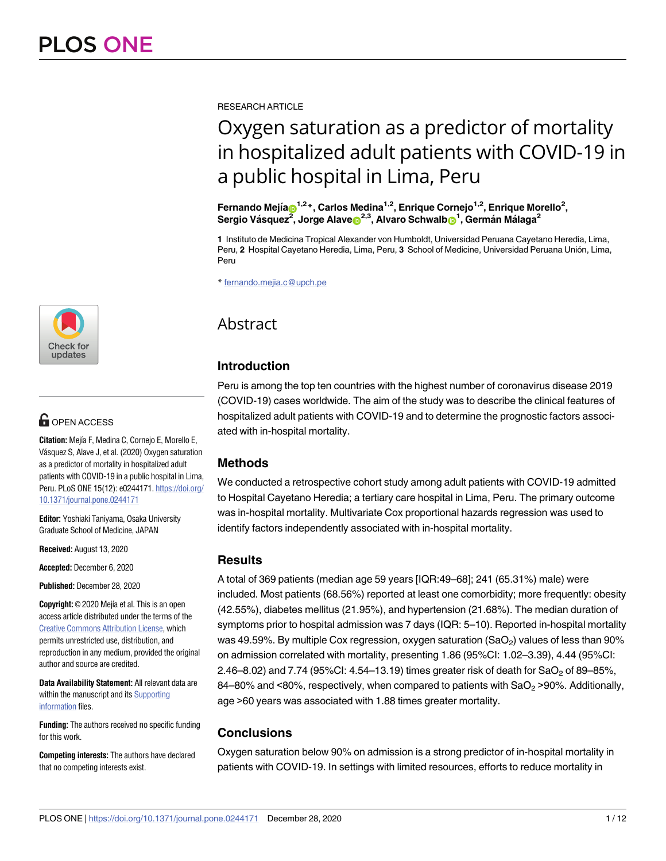[a1111111111](http://crossmark.crossref.org/dialog/?doi=10.1371/journal.pone.0244171&domain=pdf&date_stamp=2020-12-28) **a**1111 [a1111111111](http://crossmark.crossref.org/dialog/?doi=10.1371/journal.pone.0244171&domain=pdf&date_stamp=2020-12-28) Check for updates

# **OPEN ACCESS**

**Citation:** Mejía F, Medina C, Cornejo E, Morello E, Vásquez S, Alave J, et al. (2020) Oxygen saturation as a predictor of mortality in hospitalized adult patients with COVID-19 in a public hospital in Lima, Peru. PLoS ONE 15(12): e0244171. [https://doi.org/](https://doi.org/10.1371/journal.pone.0244171) [10.1371/journal.pone.0244171](https://doi.org/10.1371/journal.pone.0244171)

**Editor:** Yoshiaki Taniyama, Osaka University Graduate School of Medicine, JAPAN

**Received:** August 13, 2020

**Accepted:** December 6, 2020

**Published:** December 28, 2020

**Copyright:** © 2020 Mejía et al. This is an open access article distributed under the terms of the Creative Commons [Attribution](http://creativecommons.org/licenses/by/4.0/) License, which permits unrestricted use, distribution, and reproduction in any medium, provided the original author and source are credited.

**Data Availability Statement:** All relevant data are within the manuscript and its [Supporting](#page-9-0) [information](#page-9-0) files.

**Funding:** The authors received no specific funding for this work.

**Competing interests:** The authors have declared that no competing interests exist.

RESEARCH ARTICLE

# Oxygen saturation as a predictor of mortality in hospitalized adult patients with COVID-19 in a public hospital in Lima, Peru

 $\mathsf{Fernando}\ \mathsf{Mejia}$   $\mathsf{D}^{1,2}$ \*, Carlos Medina<sup>1,2</sup>, Enrique Cornejo<sup>1,2</sup>, Enrique Morello<sup>2</sup>,  $\mathsf{Sergio\ V\acute{a}}$ squez $^{\mathsf{2}},$  Jorge Alave $\mathsf{D}^{2,3},$  Alvaro Schwalb $\mathsf{D}^{1},$  Germán Málaga $^{\mathsf{2}}$ 

**1** Instituto de Medicina Tropical Alexander von Humboldt, Universidad Peruana Cayetano Heredia, Lima, Peru, 2 Hospital Cayetano Heredia, Lima, Peru, 3 School of Medicine, Universidad Peruana Unión, Lima, Peru

\* fernando.mejia.c@upch.pe

# Abstract

# **Introduction**

Peru is among the top ten countries with the highest number of coronavirus disease 2019 (COVID-19) cases worldwide. The aim of the study was to describe the clinical features of hospitalized adult patients with COVID-19 and to determine the prognostic factors associated with in-hospital mortality.

# **Methods**

We conducted a retrospective cohort study among adult patients with COVID-19 admitted to Hospital Cayetano Heredia; a tertiary care hospital in Lima, Peru. The primary outcome was in-hospital mortality. Multivariate Cox proportional hazards regression was used to identify factors independently associated with in-hospital mortality.

#### **Results**

A total of 369 patients (median age 59 years [IQR:49–68]; 241 (65.31%) male) were included. Most patients (68.56%) reported at least one comorbidity; more frequently: obesity (42.55%), diabetes mellitus (21.95%), and hypertension (21.68%). The median duration of symptoms prior to hospital admission was 7 days (IQR: 5–10). Reported in-hospital mortality was 49.59%. By multiple Cox regression, oxygen saturation  $(SaO<sub>2</sub>)$  values of less than 90% on admission correlated with mortality, presenting 1.86 (95%CI: 1.02–3.39), 4.44 (95%CI: 2.46–8.02) and 7.74 (95%CI: 4.54–13.19) times greater risk of death for  $SaO<sub>2</sub>$  of 89–85%, 84–80% and <80%, respectively, when compared to patients with  $SaO<sub>2</sub>$  >90%. Additionally, age >60 years was associated with 1.88 times greater mortality.

# **Conclusions**

Oxygen saturation below 90% on admission is a strong predictor of in-hospital mortality in patients with COVID-19. In settings with limited resources, efforts to reduce mortality in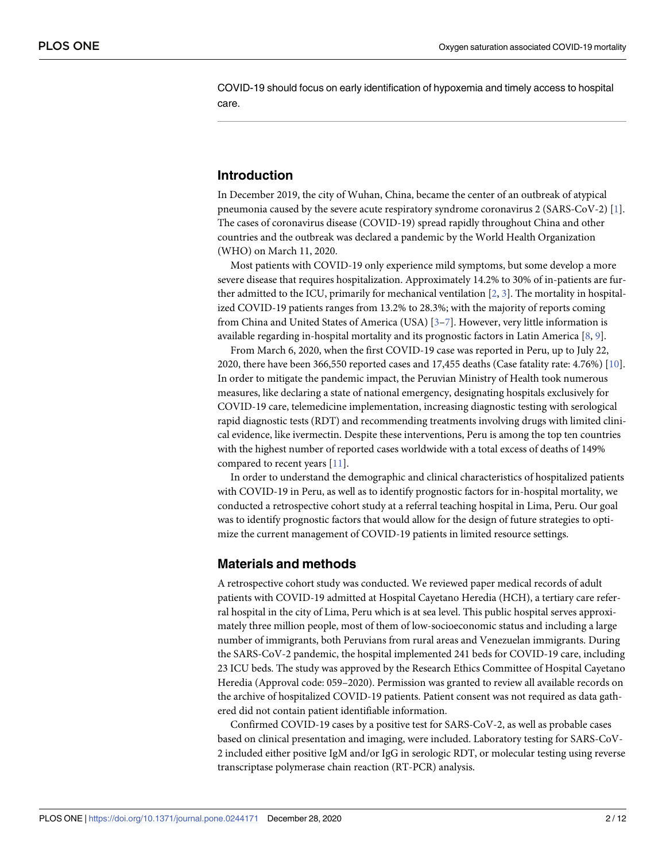<span id="page-1-0"></span>COVID-19 should focus on early identification of hypoxemia and timely access to hospital care.

# **Introduction**

In December 2019, the city of Wuhan, China, became the center of an outbreak of atypical pneumonia caused by the severe acute respiratory syndrome coronavirus 2 (SARS-CoV-2) [\[1](#page-10-0)]. The cases of coronavirus disease (COVID-19) spread rapidly throughout China and other countries and the outbreak was declared a pandemic by the World Health Organization (WHO) on March 11, 2020.

Most patients with COVID-19 only experience mild symptoms, but some develop a more severe disease that requires hospitalization. Approximately 14.2% to 30% of in-patients are further admitted to the ICU, primarily for mechanical ventilation [\[2,](#page-10-0) [3](#page-10-0)]. The mortality in hospitalized COVID-19 patients ranges from 13.2% to 28.3%; with the majority of reports coming from China and United States of America (USA) [\[3–7\]](#page-10-0). However, very little information is available regarding in-hospital mortality and its prognostic factors in Latin America [\[8,](#page-10-0) [9](#page-10-0)].

From March 6, 2020, when the first COVID-19 case was reported in Peru, up to July 22, 2020, there have been 366,550 reported cases and 17,455 deaths (Case fatality rate: 4.76%) [[10](#page-10-0)]. In order to mitigate the pandemic impact, the Peruvian Ministry of Health took numerous measures, like declaring a state of national emergency, designating hospitals exclusively for COVID-19 care, telemedicine implementation, increasing diagnostic testing with serological rapid diagnostic tests (RDT) and recommending treatments involving drugs with limited clinical evidence, like ivermectin. Despite these interventions, Peru is among the top ten countries with the highest number of reported cases worldwide with a total excess of deaths of 149% compared to recent years [[11](#page-10-0)].

In order to understand the demographic and clinical characteristics of hospitalized patients with COVID-19 in Peru, as well as to identify prognostic factors for in-hospital mortality, we conducted a retrospective cohort study at a referral teaching hospital in Lima, Peru. Our goal was to identify prognostic factors that would allow for the design of future strategies to optimize the current management of COVID-19 patients in limited resource settings.

#### **Materials and methods**

A retrospective cohort study was conducted. We reviewed paper medical records of adult patients with COVID-19 admitted at Hospital Cayetano Heredia (HCH), a tertiary care referral hospital in the city of Lima, Peru which is at sea level. This public hospital serves approximately three million people, most of them of low-socioeconomic status and including a large number of immigrants, both Peruvians from rural areas and Venezuelan immigrants. During the SARS-CoV-2 pandemic, the hospital implemented 241 beds for COVID-19 care, including 23 ICU beds. The study was approved by the Research Ethics Committee of Hospital Cayetano Heredia (Approval code: 059–2020). Permission was granted to review all available records on the archive of hospitalized COVID-19 patients. Patient consent was not required as data gathered did not contain patient identifiable information.

Confirmed COVID-19 cases by a positive test for SARS-CoV-2, as well as probable cases based on clinical presentation and imaging, were included. Laboratory testing for SARS-CoV-2 included either positive IgM and/or IgG in serologic RDT, or molecular testing using reverse transcriptase polymerase chain reaction (RT-PCR) analysis.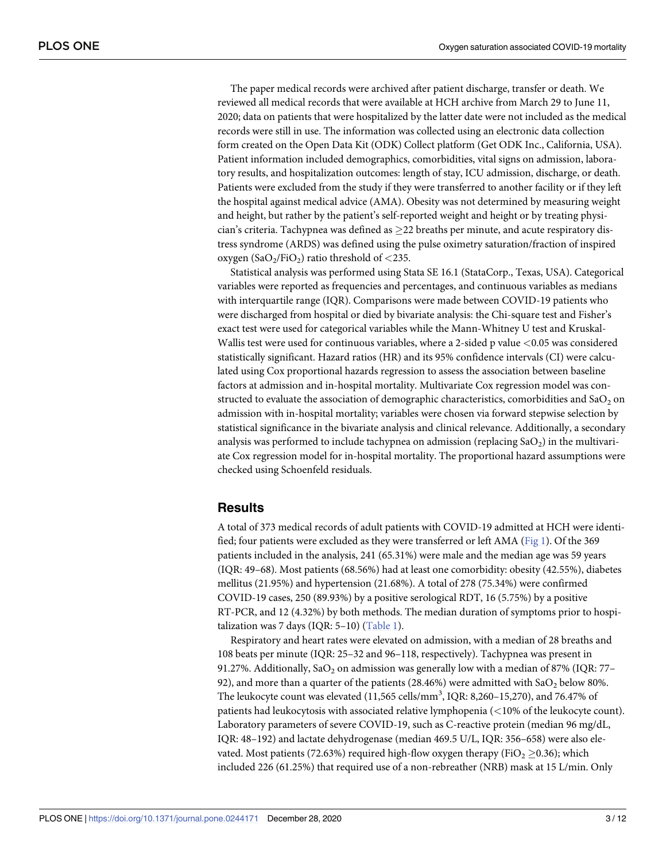<span id="page-2-0"></span>The paper medical records were archived after patient discharge, transfer or death. We reviewed all medical records that were available at HCH archive from March 29 to June 11, 2020; data on patients that were hospitalized by the latter date were not included as the medical records were still in use. The information was collected using an electronic data collection form created on the Open Data Kit (ODK) Collect platform (Get ODK Inc., California, USA). Patient information included demographics, comorbidities, vital signs on admission, laboratory results, and hospitalization outcomes: length of stay, ICU admission, discharge, or death. Patients were excluded from the study if they were transferred to another facility or if they left the hospital against medical advice (AMA). Obesity was not determined by measuring weight and height, but rather by the patient's self-reported weight and height or by treating physician's criteria. Tachypnea was defined as  $>22$  breaths per minute, and acute respiratory distress syndrome (ARDS) was defined using the pulse oximetry saturation/fraction of inspired oxygen  $(SaO<sub>2</sub>/FiO<sub>2</sub>)$  ratio threshold of <235.

Statistical analysis was performed using Stata SE 16.1 (StataCorp., Texas, USA). Categorical variables were reported as frequencies and percentages, and continuous variables as medians with interquartile range (IQR). Comparisons were made between COVID-19 patients who were discharged from hospital or died by bivariate analysis: the Chi-square test and Fisher's exact test were used for categorical variables while the Mann-Whitney U test and Kruskal-Wallis test were used for continuous variables, where a 2-sided p value *<*0.05 was considered statistically significant. Hazard ratios (HR) and its 95% confidence intervals (CI) were calculated using Cox proportional hazards regression to assess the association between baseline factors at admission and in-hospital mortality. Multivariate Cox regression model was constructed to evaluate the association of demographic characteristics, comorbidities and  $a_0$  on admission with in-hospital mortality; variables were chosen via forward stepwise selection by statistical significance in the bivariate analysis and clinical relevance. Additionally, a secondary analysis was performed to include tachypnea on admission (replacing  $SaO<sub>2</sub>$ ) in the multivariate Cox regression model for in-hospital mortality. The proportional hazard assumptions were checked using Schoenfeld residuals.

#### **Results**

A total of 373 medical records of adult patients with COVID-19 admitted at HCH were identified; four patients were excluded as they were transferred or left AMA [\(Fig](#page-3-0) 1). Of the 369 patients included in the analysis, 241 (65.31%) were male and the median age was 59 years (IQR: 49–68). Most patients (68.56%) had at least one comorbidity: obesity (42.55%), diabetes mellitus (21.95%) and hypertension (21.68%). A total of 278 (75.34%) were confirmed COVID-19 cases, 250 (89.93%) by a positive serological RDT, 16 (5.75%) by a positive RT-PCR, and 12 (4.32%) by both methods. The median duration of symptoms prior to hospitalization was 7 days (IQR:  $5-10$ ) ([Table](#page-4-0) 1).

Respiratory and heart rates were elevated on admission, with a median of 28 breaths and 108 beats per minute (IQR: 25–32 and 96–118, respectively). Tachypnea was present in 91.27%. Additionally, SaO<sub>2</sub> on admission was generally low with a median of 87% (IQR: 77-92), and more than a quarter of the patients (28.46%) were admitted with  $SaO<sub>2</sub>$  below 80%. The leukocyte count was elevated  $(11,565 \text{ cells/mm}^3, \text{IQR: } 8,260-15,270)$ , and 76.47% of patients had leukocytosis with associated relative lymphopenia (*<*10% of the leukocyte count). Laboratory parameters of severe COVID-19, such as C-reactive protein (median 96 mg/dL, IQR: 48–192) and lactate dehydrogenase (median 469.5 U/L, IQR: 356–658) were also elevated. Most patients (72.63%) required high-flow oxygen therapy (FiO<sub>2</sub>  $\geq$ 0.36); which included 226 (61.25%) that required use of a non-rebreather (NRB) mask at 15 L/min. Only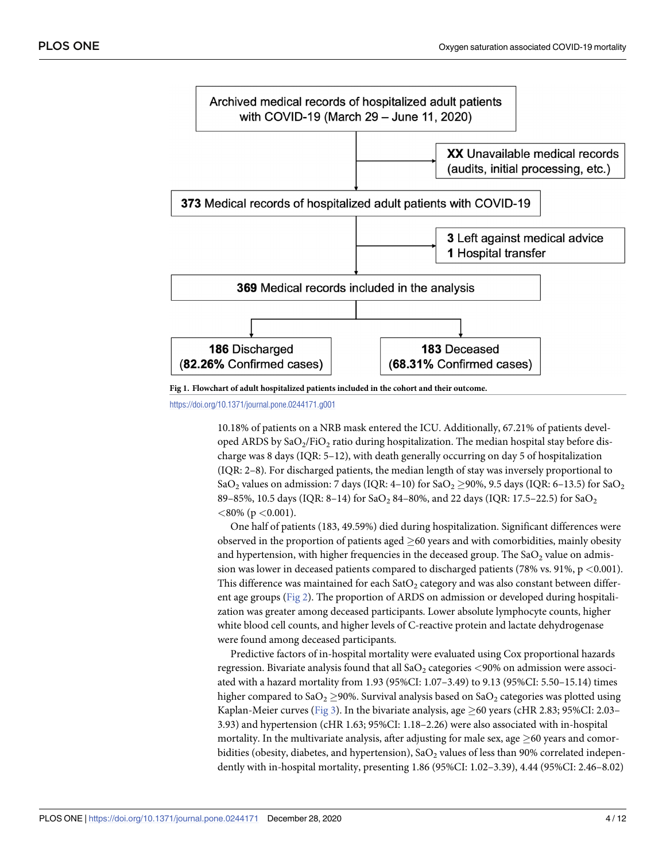<span id="page-3-0"></span>



<https://doi.org/10.1371/journal.pone.0244171.g001>

10.18% of patients on a NRB mask entered the ICU. Additionally, 67.21% of patients developed ARDS by  $\text{SaO}_2/\text{FiO}_2$  ratio during hospitalization. The median hospital stay before discharge was 8 days (IQR: 5–12), with death generally occurring on day 5 of hospitalization (IQR: 2–8). For discharged patients, the median length of stay was inversely proportional to SaO<sub>2</sub> values on admission: 7 days (IQR: 4–10) for SaO<sub>2</sub>  $\geq$ 90%, 9.5 days (IQR: 6–13.5) for SaO<sub>2</sub> 89–85%, 10.5 days (IQR: 8–14) for SaO<sub>2</sub> 84–80%, and 22 days (IQR: 17.5–22.5) for SaO<sub>2</sub> *<*80% (p *<*0.001).

One half of patients (183, 49.59%) died during hospitalization. Significant differences were observed in the proportion of patients aged  $\geq$ 60 years and with comorbidities, mainly obesity and hypertension, with higher frequencies in the deceased group. The  $SaO<sub>2</sub>$  value on admission was lower in deceased patients compared to discharged patients (78% vs. 91%, p *<*0.001). This difference was maintained for each  $SatO<sub>2</sub>$  category and was also constant between different age groups [\(Fig](#page-5-0) 2). The proportion of ARDS on admission or developed during hospitalization was greater among deceased participants. Lower absolute lymphocyte counts, higher white blood cell counts, and higher levels of C-reactive protein and lactate dehydrogenase were found among deceased participants.

Predictive factors of in-hospital mortality were evaluated using Cox proportional hazards regression. Bivariate analysis found that all SaO<sub>2</sub> categories <90% on admission were associated with a hazard mortality from 1.93 (95%CI: 1.07–3.49) to 9.13 (95%CI: 5.50–15.14) times higher compared to SaO<sub>2</sub>  $\geq$ 90%. Survival analysis based on SaO<sub>2</sub> categories was plotted using Kaplan-Meier curves [\(Fig](#page-6-0) 3). In the bivariate analysis, age  $\geq$  60 years (cHR 2.83; 95%CI: 2.03– 3.93) and hypertension (cHR 1.63; 95%CI: 1.18–2.26) were also associated with in-hospital mortality. In the multivariate analysis, after adjusting for male sex, age  $\geq 60$  years and comorbidities (obesity, diabetes, and hypertension), SaO<sub>2</sub> values of less than 90% correlated independently with in-hospital mortality, presenting 1.86 (95%CI: 1.02–3.39), 4.44 (95%CI: 2.46–8.02)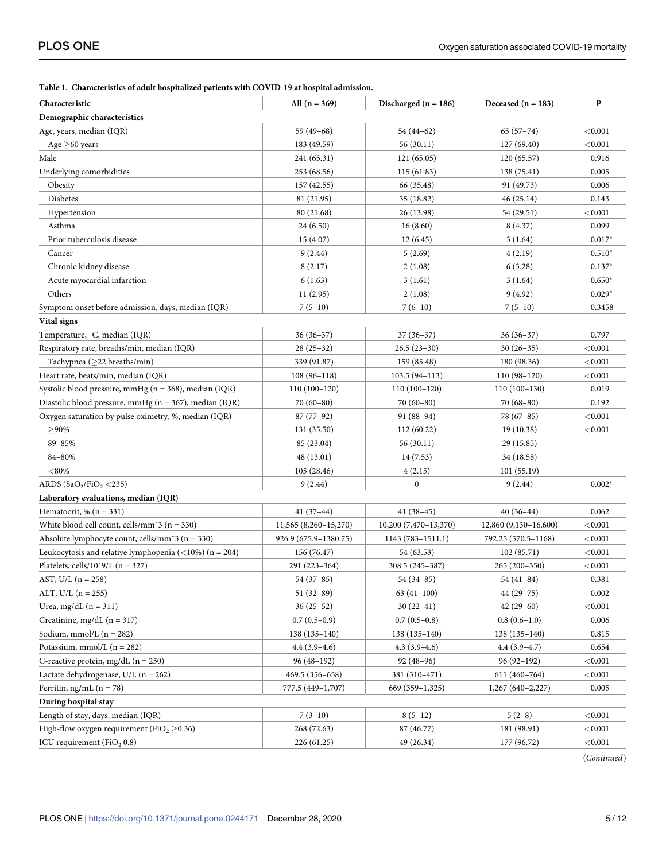<span id="page-4-0"></span>

|  |  | Table 1. Characteristics of adult hospitalized patients with COVID-19 at hospital admission. |
|--|--|----------------------------------------------------------------------------------------------|
|--|--|----------------------------------------------------------------------------------------------|

| Demographic characteristics<br>Age, years, median (IQR)<br>59 (49-68)<br>$65(57-74)$<br>< 0.001<br>54 (44–62)<br>Age $\geq$ 60 years<br>56(30.11)<br>183 (49.59)<br>127 (69.40)<br>< 0.001<br>Male<br>0.916<br>241 (65.31)<br>121 (65.05)<br>120(65.57)<br>Underlying comorbidities<br>0.005<br>253 (68.56)<br>115 (61.83)<br>138 (75.41)<br>157 (42.55)<br>66 (35.48)<br>91 (49.73)<br>0.006<br>Obesity<br>Diabetes<br>81 (21.95)<br>35 (18.82)<br>46(25.14)<br>0.143<br>< 0.001<br>Hypertension<br>80 (21.68)<br>26 (13.98)<br>54 (29.51)<br>Asthma<br>0.099<br>24 (6.50)<br>16(8.60)<br>8 (4.37)<br>Prior tuberculosis disease<br>$0.017*$<br>15 (4.07)<br>12(6.45)<br>3(1.64)<br>$0.510*$<br>Cancer<br>9(2.44)<br>5(2.69)<br>4(2.19)<br>Chronic kidney disease<br>8(2.17)<br>2(1.08)<br>6(3.28)<br>$0.137*$<br>Acute myocardial infarction<br>6(1.63)<br>3(1.64)<br>$0.650*$<br>3(1.61)<br>Others<br>$0.029*$<br>11(2.95)<br>2(1.08)<br>9(4.92)<br>Symptom onset before admission, days, median (IQR)<br>$7(6-10)$<br>$7(5-10)$<br>$7(5-10)$<br>0.3458<br>Vital signs<br>Temperature, °C, median (IQR)<br>0.797<br>$36(36-37)$<br>$37(36-37)$<br>$36(36-37)$<br>Respiratory rate, breaths/min, median (IQR)<br>$28(25-32)$<br>$26.5(23-30)$<br>$30(26-35)$<br>< 0.001<br>Tachypnea ( $\geq$ 22 breaths/min)<br>339 (91.87)<br>159 (85.48)<br>180 (98.36)<br>< 0.001<br>Heart rate, beats/min, median (IQR)<br>$108(96-118)$<br>$103.5(94 - 113)$<br>$110(98-120)$<br>< 0.001<br>Systolic blood pressure, mmHg ( $n = 368$ ), median (IQR)<br>$110(100-120)$<br>$110(100-130)$<br>0.019<br>$110(100-120)$<br>Diastolic blood pressure, mmHg ( $n = 367$ ), median (IQR)<br>$70(68-80)$<br>0.192<br>$70(60-80)$<br>$70(60-80)$<br>Oxygen saturation by pulse oximetry, %, median (IQR)<br>$87(77-92)$<br>$91(88-94)$<br>< 0.001<br>78 (67–85)<br>$>90\%$<br>112 (60.22)<br>19(10.38)<br>< 0.001<br>131 (35.50)<br>89-85%<br>85 (23.04)<br>56(30.11)<br>29 (15.85)<br>84-80%<br>48 (13.01)<br>14 (7.53)<br>34 (18.58)<br>$<$ 80%<br>105(28.46)<br>4(2.15)<br>101(55.19)<br>ARDS (SaO <sub>2</sub> /FiO <sub>2</sub> <235)<br>0<br>$0.002*$<br>9(2.44)<br>9(2.44)<br>Laboratory evaluations, median (IQR)<br>Hematocrit, % $(n = 331)$<br>$41(37-44)$<br>$41(38-45)$<br>$40(36-44)$<br>0.062<br>White blood cell count, cells/mm $3$ (n = 330)<br>11,565 (8,260-15,270)<br>10,200 (7,470-13,370)<br>12,860 (9,130-16,600)<br>< 0.001<br>Absolute lymphocyte count, cells/mm $\hat{3}$ (n = 330)<br>< 0.001<br>926.9 (675.9–1380.75)<br>$1143(783 - 1511.1)$<br>792.25 (570.5-1168)<br>Leukocytosis and relative lymphopenia ( $\langle 10\% \rangle$ (n = 204)<br>< 0.001<br>156 (76.47)<br>54 (63.53)<br>102(85.71)<br>Platelets, cells/10^9/L ( $n = 327$ )<br>291 (223-364)<br>< 0.001<br>308.5 (245–387)<br>$265(200-350)$<br>0.381<br>AST, U/L $(n = 258)$<br>$54(37-85)$<br>54 (34-85)<br>54 (41–84)<br>$51(32-89)$<br>$63(41-100)$<br>$44(29 - 75)$<br>0.002<br>ALT, U/L $(n = 255)$<br>$42(29-60)$<br>Urea, mg/dL $(n = 311)$<br>$36(25-52)$<br>$30(22-41)$<br>< 0.001<br>0.006<br>Creatinine, mg/dL $(n = 317)$<br>$0.7(0.5-0.9)$<br>$0.7(0.5-0.8)$<br>$0.8(0.6-1.0)$<br>Sodium, mmol/L $(n = 282)$<br>$138(135-140)$<br>$138(135-140)$<br>0.815<br>$138(135-140)$<br>Potassium, mmol/L ( $n = 282$ )<br>$4.3(3.9-4.6)$<br>$4.4(3.9-4.7)$<br>$4.4(3.9-4.6)$<br>0.654<br>C-reactive protein, mg/dL ( $n = 250$ )<br>$96(48-192)$<br>$96(92-192)$<br>92 (48–96)<br>< 0.001<br>469.5 (356-658)<br>381 (310-471)<br>611 (460-764)<br>< 0.001<br>Ferritin, ng/mL ( $n = 78$ )<br>777.5 (449-1,707)<br>669 (359-1,325)<br>$1,267(640-2,227)$<br>0.005<br>During hospital stay<br>Length of stay, days, median (IQR)<br>$7(3-10)$<br>$8(5-12)$<br>< 0.001<br>$5(2-8)$<br>High-flow oxygen requirement (FiO <sub>2</sub> $\geq$ 0.36)<br>268 (72.63)<br>87 (46.77)<br>181 (98.91)<br>< 0.001<br>ICU requirement ( $FiO2 0.8$ )<br>49 (26.34)<br>177 (96.72)<br>< 0.001<br>226 (61.25) | Characteristic                           | All $(n = 369)$ | Discharged ( $n = 186$ ) | Deceased $(n = 183)$ | P |
|----------------------------------------------------------------------------------------------------------------------------------------------------------------------------------------------------------------------------------------------------------------------------------------------------------------------------------------------------------------------------------------------------------------------------------------------------------------------------------------------------------------------------------------------------------------------------------------------------------------------------------------------------------------------------------------------------------------------------------------------------------------------------------------------------------------------------------------------------------------------------------------------------------------------------------------------------------------------------------------------------------------------------------------------------------------------------------------------------------------------------------------------------------------------------------------------------------------------------------------------------------------------------------------------------------------------------------------------------------------------------------------------------------------------------------------------------------------------------------------------------------------------------------------------------------------------------------------------------------------------------------------------------------------------------------------------------------------------------------------------------------------------------------------------------------------------------------------------------------------------------------------------------------------------------------------------------------------------------------------------------------------------------------------------------------------------------------------------------------------------------------------------------------------------------------------------------------------------------------------------------------------------------------------------------------------------------------------------------------------------------------------------------------------------------------------------------------------------------------------------------------------------------------------------------------------------------------------------------------------------------------------------------------------------------------------------------------------------------------------------------------------------------------------------------------------------------------------------------------------------------------------------------------------------------------------------------------------------------------------------------------------------------------------------------------------------------------------------------------------------------------------------------------------------------------------------------------------------------------------------------------------------------------------------------------------------------------------------------------------------------------------------------------------------------------------------------------------------------------------------------------------------------------------------------------------------------------------------------------------------------------------------------------------------------------------------------------------------------------------------------------------------------------------------------------------------------------------------------------------------------------------------------------------------------------------------------------------------------------------|------------------------------------------|-----------------|--------------------------|----------------------|---|
|                                                                                                                                                                                                                                                                                                                                                                                                                                                                                                                                                                                                                                                                                                                                                                                                                                                                                                                                                                                                                                                                                                                                                                                                                                                                                                                                                                                                                                                                                                                                                                                                                                                                                                                                                                                                                                                                                                                                                                                                                                                                                                                                                                                                                                                                                                                                                                                                                                                                                                                                                                                                                                                                                                                                                                                                                                                                                                                                                                                                                                                                                                                                                                                                                                                                                                                                                                                                                                                                                                                                                                                                                                                                                                                                                                                                                                                                                                                                                                                        |                                          |                 |                          |                      |   |
|                                                                                                                                                                                                                                                                                                                                                                                                                                                                                                                                                                                                                                                                                                                                                                                                                                                                                                                                                                                                                                                                                                                                                                                                                                                                                                                                                                                                                                                                                                                                                                                                                                                                                                                                                                                                                                                                                                                                                                                                                                                                                                                                                                                                                                                                                                                                                                                                                                                                                                                                                                                                                                                                                                                                                                                                                                                                                                                                                                                                                                                                                                                                                                                                                                                                                                                                                                                                                                                                                                                                                                                                                                                                                                                                                                                                                                                                                                                                                                                        |                                          |                 |                          |                      |   |
|                                                                                                                                                                                                                                                                                                                                                                                                                                                                                                                                                                                                                                                                                                                                                                                                                                                                                                                                                                                                                                                                                                                                                                                                                                                                                                                                                                                                                                                                                                                                                                                                                                                                                                                                                                                                                                                                                                                                                                                                                                                                                                                                                                                                                                                                                                                                                                                                                                                                                                                                                                                                                                                                                                                                                                                                                                                                                                                                                                                                                                                                                                                                                                                                                                                                                                                                                                                                                                                                                                                                                                                                                                                                                                                                                                                                                                                                                                                                                                                        |                                          |                 |                          |                      |   |
|                                                                                                                                                                                                                                                                                                                                                                                                                                                                                                                                                                                                                                                                                                                                                                                                                                                                                                                                                                                                                                                                                                                                                                                                                                                                                                                                                                                                                                                                                                                                                                                                                                                                                                                                                                                                                                                                                                                                                                                                                                                                                                                                                                                                                                                                                                                                                                                                                                                                                                                                                                                                                                                                                                                                                                                                                                                                                                                                                                                                                                                                                                                                                                                                                                                                                                                                                                                                                                                                                                                                                                                                                                                                                                                                                                                                                                                                                                                                                                                        |                                          |                 |                          |                      |   |
|                                                                                                                                                                                                                                                                                                                                                                                                                                                                                                                                                                                                                                                                                                                                                                                                                                                                                                                                                                                                                                                                                                                                                                                                                                                                                                                                                                                                                                                                                                                                                                                                                                                                                                                                                                                                                                                                                                                                                                                                                                                                                                                                                                                                                                                                                                                                                                                                                                                                                                                                                                                                                                                                                                                                                                                                                                                                                                                                                                                                                                                                                                                                                                                                                                                                                                                                                                                                                                                                                                                                                                                                                                                                                                                                                                                                                                                                                                                                                                                        |                                          |                 |                          |                      |   |
|                                                                                                                                                                                                                                                                                                                                                                                                                                                                                                                                                                                                                                                                                                                                                                                                                                                                                                                                                                                                                                                                                                                                                                                                                                                                                                                                                                                                                                                                                                                                                                                                                                                                                                                                                                                                                                                                                                                                                                                                                                                                                                                                                                                                                                                                                                                                                                                                                                                                                                                                                                                                                                                                                                                                                                                                                                                                                                                                                                                                                                                                                                                                                                                                                                                                                                                                                                                                                                                                                                                                                                                                                                                                                                                                                                                                                                                                                                                                                                                        |                                          |                 |                          |                      |   |
|                                                                                                                                                                                                                                                                                                                                                                                                                                                                                                                                                                                                                                                                                                                                                                                                                                                                                                                                                                                                                                                                                                                                                                                                                                                                                                                                                                                                                                                                                                                                                                                                                                                                                                                                                                                                                                                                                                                                                                                                                                                                                                                                                                                                                                                                                                                                                                                                                                                                                                                                                                                                                                                                                                                                                                                                                                                                                                                                                                                                                                                                                                                                                                                                                                                                                                                                                                                                                                                                                                                                                                                                                                                                                                                                                                                                                                                                                                                                                                                        |                                          |                 |                          |                      |   |
|                                                                                                                                                                                                                                                                                                                                                                                                                                                                                                                                                                                                                                                                                                                                                                                                                                                                                                                                                                                                                                                                                                                                                                                                                                                                                                                                                                                                                                                                                                                                                                                                                                                                                                                                                                                                                                                                                                                                                                                                                                                                                                                                                                                                                                                                                                                                                                                                                                                                                                                                                                                                                                                                                                                                                                                                                                                                                                                                                                                                                                                                                                                                                                                                                                                                                                                                                                                                                                                                                                                                                                                                                                                                                                                                                                                                                                                                                                                                                                                        |                                          |                 |                          |                      |   |
|                                                                                                                                                                                                                                                                                                                                                                                                                                                                                                                                                                                                                                                                                                                                                                                                                                                                                                                                                                                                                                                                                                                                                                                                                                                                                                                                                                                                                                                                                                                                                                                                                                                                                                                                                                                                                                                                                                                                                                                                                                                                                                                                                                                                                                                                                                                                                                                                                                                                                                                                                                                                                                                                                                                                                                                                                                                                                                                                                                                                                                                                                                                                                                                                                                                                                                                                                                                                                                                                                                                                                                                                                                                                                                                                                                                                                                                                                                                                                                                        |                                          |                 |                          |                      |   |
|                                                                                                                                                                                                                                                                                                                                                                                                                                                                                                                                                                                                                                                                                                                                                                                                                                                                                                                                                                                                                                                                                                                                                                                                                                                                                                                                                                                                                                                                                                                                                                                                                                                                                                                                                                                                                                                                                                                                                                                                                                                                                                                                                                                                                                                                                                                                                                                                                                                                                                                                                                                                                                                                                                                                                                                                                                                                                                                                                                                                                                                                                                                                                                                                                                                                                                                                                                                                                                                                                                                                                                                                                                                                                                                                                                                                                                                                                                                                                                                        |                                          |                 |                          |                      |   |
|                                                                                                                                                                                                                                                                                                                                                                                                                                                                                                                                                                                                                                                                                                                                                                                                                                                                                                                                                                                                                                                                                                                                                                                                                                                                                                                                                                                                                                                                                                                                                                                                                                                                                                                                                                                                                                                                                                                                                                                                                                                                                                                                                                                                                                                                                                                                                                                                                                                                                                                                                                                                                                                                                                                                                                                                                                                                                                                                                                                                                                                                                                                                                                                                                                                                                                                                                                                                                                                                                                                                                                                                                                                                                                                                                                                                                                                                                                                                                                                        |                                          |                 |                          |                      |   |
|                                                                                                                                                                                                                                                                                                                                                                                                                                                                                                                                                                                                                                                                                                                                                                                                                                                                                                                                                                                                                                                                                                                                                                                                                                                                                                                                                                                                                                                                                                                                                                                                                                                                                                                                                                                                                                                                                                                                                                                                                                                                                                                                                                                                                                                                                                                                                                                                                                                                                                                                                                                                                                                                                                                                                                                                                                                                                                                                                                                                                                                                                                                                                                                                                                                                                                                                                                                                                                                                                                                                                                                                                                                                                                                                                                                                                                                                                                                                                                                        |                                          |                 |                          |                      |   |
|                                                                                                                                                                                                                                                                                                                                                                                                                                                                                                                                                                                                                                                                                                                                                                                                                                                                                                                                                                                                                                                                                                                                                                                                                                                                                                                                                                                                                                                                                                                                                                                                                                                                                                                                                                                                                                                                                                                                                                                                                                                                                                                                                                                                                                                                                                                                                                                                                                                                                                                                                                                                                                                                                                                                                                                                                                                                                                                                                                                                                                                                                                                                                                                                                                                                                                                                                                                                                                                                                                                                                                                                                                                                                                                                                                                                                                                                                                                                                                                        |                                          |                 |                          |                      |   |
|                                                                                                                                                                                                                                                                                                                                                                                                                                                                                                                                                                                                                                                                                                                                                                                                                                                                                                                                                                                                                                                                                                                                                                                                                                                                                                                                                                                                                                                                                                                                                                                                                                                                                                                                                                                                                                                                                                                                                                                                                                                                                                                                                                                                                                                                                                                                                                                                                                                                                                                                                                                                                                                                                                                                                                                                                                                                                                                                                                                                                                                                                                                                                                                                                                                                                                                                                                                                                                                                                                                                                                                                                                                                                                                                                                                                                                                                                                                                                                                        |                                          |                 |                          |                      |   |
|                                                                                                                                                                                                                                                                                                                                                                                                                                                                                                                                                                                                                                                                                                                                                                                                                                                                                                                                                                                                                                                                                                                                                                                                                                                                                                                                                                                                                                                                                                                                                                                                                                                                                                                                                                                                                                                                                                                                                                                                                                                                                                                                                                                                                                                                                                                                                                                                                                                                                                                                                                                                                                                                                                                                                                                                                                                                                                                                                                                                                                                                                                                                                                                                                                                                                                                                                                                                                                                                                                                                                                                                                                                                                                                                                                                                                                                                                                                                                                                        |                                          |                 |                          |                      |   |
|                                                                                                                                                                                                                                                                                                                                                                                                                                                                                                                                                                                                                                                                                                                                                                                                                                                                                                                                                                                                                                                                                                                                                                                                                                                                                                                                                                                                                                                                                                                                                                                                                                                                                                                                                                                                                                                                                                                                                                                                                                                                                                                                                                                                                                                                                                                                                                                                                                                                                                                                                                                                                                                                                                                                                                                                                                                                                                                                                                                                                                                                                                                                                                                                                                                                                                                                                                                                                                                                                                                                                                                                                                                                                                                                                                                                                                                                                                                                                                                        |                                          |                 |                          |                      |   |
|                                                                                                                                                                                                                                                                                                                                                                                                                                                                                                                                                                                                                                                                                                                                                                                                                                                                                                                                                                                                                                                                                                                                                                                                                                                                                                                                                                                                                                                                                                                                                                                                                                                                                                                                                                                                                                                                                                                                                                                                                                                                                                                                                                                                                                                                                                                                                                                                                                                                                                                                                                                                                                                                                                                                                                                                                                                                                                                                                                                                                                                                                                                                                                                                                                                                                                                                                                                                                                                                                                                                                                                                                                                                                                                                                                                                                                                                                                                                                                                        |                                          |                 |                          |                      |   |
|                                                                                                                                                                                                                                                                                                                                                                                                                                                                                                                                                                                                                                                                                                                                                                                                                                                                                                                                                                                                                                                                                                                                                                                                                                                                                                                                                                                                                                                                                                                                                                                                                                                                                                                                                                                                                                                                                                                                                                                                                                                                                                                                                                                                                                                                                                                                                                                                                                                                                                                                                                                                                                                                                                                                                                                                                                                                                                                                                                                                                                                                                                                                                                                                                                                                                                                                                                                                                                                                                                                                                                                                                                                                                                                                                                                                                                                                                                                                                                                        |                                          |                 |                          |                      |   |
|                                                                                                                                                                                                                                                                                                                                                                                                                                                                                                                                                                                                                                                                                                                                                                                                                                                                                                                                                                                                                                                                                                                                                                                                                                                                                                                                                                                                                                                                                                                                                                                                                                                                                                                                                                                                                                                                                                                                                                                                                                                                                                                                                                                                                                                                                                                                                                                                                                                                                                                                                                                                                                                                                                                                                                                                                                                                                                                                                                                                                                                                                                                                                                                                                                                                                                                                                                                                                                                                                                                                                                                                                                                                                                                                                                                                                                                                                                                                                                                        |                                          |                 |                          |                      |   |
|                                                                                                                                                                                                                                                                                                                                                                                                                                                                                                                                                                                                                                                                                                                                                                                                                                                                                                                                                                                                                                                                                                                                                                                                                                                                                                                                                                                                                                                                                                                                                                                                                                                                                                                                                                                                                                                                                                                                                                                                                                                                                                                                                                                                                                                                                                                                                                                                                                                                                                                                                                                                                                                                                                                                                                                                                                                                                                                                                                                                                                                                                                                                                                                                                                                                                                                                                                                                                                                                                                                                                                                                                                                                                                                                                                                                                                                                                                                                                                                        |                                          |                 |                          |                      |   |
|                                                                                                                                                                                                                                                                                                                                                                                                                                                                                                                                                                                                                                                                                                                                                                                                                                                                                                                                                                                                                                                                                                                                                                                                                                                                                                                                                                                                                                                                                                                                                                                                                                                                                                                                                                                                                                                                                                                                                                                                                                                                                                                                                                                                                                                                                                                                                                                                                                                                                                                                                                                                                                                                                                                                                                                                                                                                                                                                                                                                                                                                                                                                                                                                                                                                                                                                                                                                                                                                                                                                                                                                                                                                                                                                                                                                                                                                                                                                                                                        |                                          |                 |                          |                      |   |
|                                                                                                                                                                                                                                                                                                                                                                                                                                                                                                                                                                                                                                                                                                                                                                                                                                                                                                                                                                                                                                                                                                                                                                                                                                                                                                                                                                                                                                                                                                                                                                                                                                                                                                                                                                                                                                                                                                                                                                                                                                                                                                                                                                                                                                                                                                                                                                                                                                                                                                                                                                                                                                                                                                                                                                                                                                                                                                                                                                                                                                                                                                                                                                                                                                                                                                                                                                                                                                                                                                                                                                                                                                                                                                                                                                                                                                                                                                                                                                                        |                                          |                 |                          |                      |   |
|                                                                                                                                                                                                                                                                                                                                                                                                                                                                                                                                                                                                                                                                                                                                                                                                                                                                                                                                                                                                                                                                                                                                                                                                                                                                                                                                                                                                                                                                                                                                                                                                                                                                                                                                                                                                                                                                                                                                                                                                                                                                                                                                                                                                                                                                                                                                                                                                                                                                                                                                                                                                                                                                                                                                                                                                                                                                                                                                                                                                                                                                                                                                                                                                                                                                                                                                                                                                                                                                                                                                                                                                                                                                                                                                                                                                                                                                                                                                                                                        |                                          |                 |                          |                      |   |
|                                                                                                                                                                                                                                                                                                                                                                                                                                                                                                                                                                                                                                                                                                                                                                                                                                                                                                                                                                                                                                                                                                                                                                                                                                                                                                                                                                                                                                                                                                                                                                                                                                                                                                                                                                                                                                                                                                                                                                                                                                                                                                                                                                                                                                                                                                                                                                                                                                                                                                                                                                                                                                                                                                                                                                                                                                                                                                                                                                                                                                                                                                                                                                                                                                                                                                                                                                                                                                                                                                                                                                                                                                                                                                                                                                                                                                                                                                                                                                                        |                                          |                 |                          |                      |   |
|                                                                                                                                                                                                                                                                                                                                                                                                                                                                                                                                                                                                                                                                                                                                                                                                                                                                                                                                                                                                                                                                                                                                                                                                                                                                                                                                                                                                                                                                                                                                                                                                                                                                                                                                                                                                                                                                                                                                                                                                                                                                                                                                                                                                                                                                                                                                                                                                                                                                                                                                                                                                                                                                                                                                                                                                                                                                                                                                                                                                                                                                                                                                                                                                                                                                                                                                                                                                                                                                                                                                                                                                                                                                                                                                                                                                                                                                                                                                                                                        |                                          |                 |                          |                      |   |
|                                                                                                                                                                                                                                                                                                                                                                                                                                                                                                                                                                                                                                                                                                                                                                                                                                                                                                                                                                                                                                                                                                                                                                                                                                                                                                                                                                                                                                                                                                                                                                                                                                                                                                                                                                                                                                                                                                                                                                                                                                                                                                                                                                                                                                                                                                                                                                                                                                                                                                                                                                                                                                                                                                                                                                                                                                                                                                                                                                                                                                                                                                                                                                                                                                                                                                                                                                                                                                                                                                                                                                                                                                                                                                                                                                                                                                                                                                                                                                                        |                                          |                 |                          |                      |   |
|                                                                                                                                                                                                                                                                                                                                                                                                                                                                                                                                                                                                                                                                                                                                                                                                                                                                                                                                                                                                                                                                                                                                                                                                                                                                                                                                                                                                                                                                                                                                                                                                                                                                                                                                                                                                                                                                                                                                                                                                                                                                                                                                                                                                                                                                                                                                                                                                                                                                                                                                                                                                                                                                                                                                                                                                                                                                                                                                                                                                                                                                                                                                                                                                                                                                                                                                                                                                                                                                                                                                                                                                                                                                                                                                                                                                                                                                                                                                                                                        |                                          |                 |                          |                      |   |
|                                                                                                                                                                                                                                                                                                                                                                                                                                                                                                                                                                                                                                                                                                                                                                                                                                                                                                                                                                                                                                                                                                                                                                                                                                                                                                                                                                                                                                                                                                                                                                                                                                                                                                                                                                                                                                                                                                                                                                                                                                                                                                                                                                                                                                                                                                                                                                                                                                                                                                                                                                                                                                                                                                                                                                                                                                                                                                                                                                                                                                                                                                                                                                                                                                                                                                                                                                                                                                                                                                                                                                                                                                                                                                                                                                                                                                                                                                                                                                                        |                                          |                 |                          |                      |   |
|                                                                                                                                                                                                                                                                                                                                                                                                                                                                                                                                                                                                                                                                                                                                                                                                                                                                                                                                                                                                                                                                                                                                                                                                                                                                                                                                                                                                                                                                                                                                                                                                                                                                                                                                                                                                                                                                                                                                                                                                                                                                                                                                                                                                                                                                                                                                                                                                                                                                                                                                                                                                                                                                                                                                                                                                                                                                                                                                                                                                                                                                                                                                                                                                                                                                                                                                                                                                                                                                                                                                                                                                                                                                                                                                                                                                                                                                                                                                                                                        |                                          |                 |                          |                      |   |
|                                                                                                                                                                                                                                                                                                                                                                                                                                                                                                                                                                                                                                                                                                                                                                                                                                                                                                                                                                                                                                                                                                                                                                                                                                                                                                                                                                                                                                                                                                                                                                                                                                                                                                                                                                                                                                                                                                                                                                                                                                                                                                                                                                                                                                                                                                                                                                                                                                                                                                                                                                                                                                                                                                                                                                                                                                                                                                                                                                                                                                                                                                                                                                                                                                                                                                                                                                                                                                                                                                                                                                                                                                                                                                                                                                                                                                                                                                                                                                                        |                                          |                 |                          |                      |   |
|                                                                                                                                                                                                                                                                                                                                                                                                                                                                                                                                                                                                                                                                                                                                                                                                                                                                                                                                                                                                                                                                                                                                                                                                                                                                                                                                                                                                                                                                                                                                                                                                                                                                                                                                                                                                                                                                                                                                                                                                                                                                                                                                                                                                                                                                                                                                                                                                                                                                                                                                                                                                                                                                                                                                                                                                                                                                                                                                                                                                                                                                                                                                                                                                                                                                                                                                                                                                                                                                                                                                                                                                                                                                                                                                                                                                                                                                                                                                                                                        |                                          |                 |                          |                      |   |
|                                                                                                                                                                                                                                                                                                                                                                                                                                                                                                                                                                                                                                                                                                                                                                                                                                                                                                                                                                                                                                                                                                                                                                                                                                                                                                                                                                                                                                                                                                                                                                                                                                                                                                                                                                                                                                                                                                                                                                                                                                                                                                                                                                                                                                                                                                                                                                                                                                                                                                                                                                                                                                                                                                                                                                                                                                                                                                                                                                                                                                                                                                                                                                                                                                                                                                                                                                                                                                                                                                                                                                                                                                                                                                                                                                                                                                                                                                                                                                                        |                                          |                 |                          |                      |   |
|                                                                                                                                                                                                                                                                                                                                                                                                                                                                                                                                                                                                                                                                                                                                                                                                                                                                                                                                                                                                                                                                                                                                                                                                                                                                                                                                                                                                                                                                                                                                                                                                                                                                                                                                                                                                                                                                                                                                                                                                                                                                                                                                                                                                                                                                                                                                                                                                                                                                                                                                                                                                                                                                                                                                                                                                                                                                                                                                                                                                                                                                                                                                                                                                                                                                                                                                                                                                                                                                                                                                                                                                                                                                                                                                                                                                                                                                                                                                                                                        |                                          |                 |                          |                      |   |
|                                                                                                                                                                                                                                                                                                                                                                                                                                                                                                                                                                                                                                                                                                                                                                                                                                                                                                                                                                                                                                                                                                                                                                                                                                                                                                                                                                                                                                                                                                                                                                                                                                                                                                                                                                                                                                                                                                                                                                                                                                                                                                                                                                                                                                                                                                                                                                                                                                                                                                                                                                                                                                                                                                                                                                                                                                                                                                                                                                                                                                                                                                                                                                                                                                                                                                                                                                                                                                                                                                                                                                                                                                                                                                                                                                                                                                                                                                                                                                                        |                                          |                 |                          |                      |   |
|                                                                                                                                                                                                                                                                                                                                                                                                                                                                                                                                                                                                                                                                                                                                                                                                                                                                                                                                                                                                                                                                                                                                                                                                                                                                                                                                                                                                                                                                                                                                                                                                                                                                                                                                                                                                                                                                                                                                                                                                                                                                                                                                                                                                                                                                                                                                                                                                                                                                                                                                                                                                                                                                                                                                                                                                                                                                                                                                                                                                                                                                                                                                                                                                                                                                                                                                                                                                                                                                                                                                                                                                                                                                                                                                                                                                                                                                                                                                                                                        |                                          |                 |                          |                      |   |
|                                                                                                                                                                                                                                                                                                                                                                                                                                                                                                                                                                                                                                                                                                                                                                                                                                                                                                                                                                                                                                                                                                                                                                                                                                                                                                                                                                                                                                                                                                                                                                                                                                                                                                                                                                                                                                                                                                                                                                                                                                                                                                                                                                                                                                                                                                                                                                                                                                                                                                                                                                                                                                                                                                                                                                                                                                                                                                                                                                                                                                                                                                                                                                                                                                                                                                                                                                                                                                                                                                                                                                                                                                                                                                                                                                                                                                                                                                                                                                                        |                                          |                 |                          |                      |   |
|                                                                                                                                                                                                                                                                                                                                                                                                                                                                                                                                                                                                                                                                                                                                                                                                                                                                                                                                                                                                                                                                                                                                                                                                                                                                                                                                                                                                                                                                                                                                                                                                                                                                                                                                                                                                                                                                                                                                                                                                                                                                                                                                                                                                                                                                                                                                                                                                                                                                                                                                                                                                                                                                                                                                                                                                                                                                                                                                                                                                                                                                                                                                                                                                                                                                                                                                                                                                                                                                                                                                                                                                                                                                                                                                                                                                                                                                                                                                                                                        |                                          |                 |                          |                      |   |
|                                                                                                                                                                                                                                                                                                                                                                                                                                                                                                                                                                                                                                                                                                                                                                                                                                                                                                                                                                                                                                                                                                                                                                                                                                                                                                                                                                                                                                                                                                                                                                                                                                                                                                                                                                                                                                                                                                                                                                                                                                                                                                                                                                                                                                                                                                                                                                                                                                                                                                                                                                                                                                                                                                                                                                                                                                                                                                                                                                                                                                                                                                                                                                                                                                                                                                                                                                                                                                                                                                                                                                                                                                                                                                                                                                                                                                                                                                                                                                                        |                                          |                 |                          |                      |   |
|                                                                                                                                                                                                                                                                                                                                                                                                                                                                                                                                                                                                                                                                                                                                                                                                                                                                                                                                                                                                                                                                                                                                                                                                                                                                                                                                                                                                                                                                                                                                                                                                                                                                                                                                                                                                                                                                                                                                                                                                                                                                                                                                                                                                                                                                                                                                                                                                                                                                                                                                                                                                                                                                                                                                                                                                                                                                                                                                                                                                                                                                                                                                                                                                                                                                                                                                                                                                                                                                                                                                                                                                                                                                                                                                                                                                                                                                                                                                                                                        |                                          |                 |                          |                      |   |
|                                                                                                                                                                                                                                                                                                                                                                                                                                                                                                                                                                                                                                                                                                                                                                                                                                                                                                                                                                                                                                                                                                                                                                                                                                                                                                                                                                                                                                                                                                                                                                                                                                                                                                                                                                                                                                                                                                                                                                                                                                                                                                                                                                                                                                                                                                                                                                                                                                                                                                                                                                                                                                                                                                                                                                                                                                                                                                                                                                                                                                                                                                                                                                                                                                                                                                                                                                                                                                                                                                                                                                                                                                                                                                                                                                                                                                                                                                                                                                                        |                                          |                 |                          |                      |   |
|                                                                                                                                                                                                                                                                                                                                                                                                                                                                                                                                                                                                                                                                                                                                                                                                                                                                                                                                                                                                                                                                                                                                                                                                                                                                                                                                                                                                                                                                                                                                                                                                                                                                                                                                                                                                                                                                                                                                                                                                                                                                                                                                                                                                                                                                                                                                                                                                                                                                                                                                                                                                                                                                                                                                                                                                                                                                                                                                                                                                                                                                                                                                                                                                                                                                                                                                                                                                                                                                                                                                                                                                                                                                                                                                                                                                                                                                                                                                                                                        |                                          |                 |                          |                      |   |
|                                                                                                                                                                                                                                                                                                                                                                                                                                                                                                                                                                                                                                                                                                                                                                                                                                                                                                                                                                                                                                                                                                                                                                                                                                                                                                                                                                                                                                                                                                                                                                                                                                                                                                                                                                                                                                                                                                                                                                                                                                                                                                                                                                                                                                                                                                                                                                                                                                                                                                                                                                                                                                                                                                                                                                                                                                                                                                                                                                                                                                                                                                                                                                                                                                                                                                                                                                                                                                                                                                                                                                                                                                                                                                                                                                                                                                                                                                                                                                                        | Lactate dehydrogenase, U/L ( $n = 262$ ) |                 |                          |                      |   |
|                                                                                                                                                                                                                                                                                                                                                                                                                                                                                                                                                                                                                                                                                                                                                                                                                                                                                                                                                                                                                                                                                                                                                                                                                                                                                                                                                                                                                                                                                                                                                                                                                                                                                                                                                                                                                                                                                                                                                                                                                                                                                                                                                                                                                                                                                                                                                                                                                                                                                                                                                                                                                                                                                                                                                                                                                                                                                                                                                                                                                                                                                                                                                                                                                                                                                                                                                                                                                                                                                                                                                                                                                                                                                                                                                                                                                                                                                                                                                                                        |                                          |                 |                          |                      |   |
|                                                                                                                                                                                                                                                                                                                                                                                                                                                                                                                                                                                                                                                                                                                                                                                                                                                                                                                                                                                                                                                                                                                                                                                                                                                                                                                                                                                                                                                                                                                                                                                                                                                                                                                                                                                                                                                                                                                                                                                                                                                                                                                                                                                                                                                                                                                                                                                                                                                                                                                                                                                                                                                                                                                                                                                                                                                                                                                                                                                                                                                                                                                                                                                                                                                                                                                                                                                                                                                                                                                                                                                                                                                                                                                                                                                                                                                                                                                                                                                        |                                          |                 |                          |                      |   |
|                                                                                                                                                                                                                                                                                                                                                                                                                                                                                                                                                                                                                                                                                                                                                                                                                                                                                                                                                                                                                                                                                                                                                                                                                                                                                                                                                                                                                                                                                                                                                                                                                                                                                                                                                                                                                                                                                                                                                                                                                                                                                                                                                                                                                                                                                                                                                                                                                                                                                                                                                                                                                                                                                                                                                                                                                                                                                                                                                                                                                                                                                                                                                                                                                                                                                                                                                                                                                                                                                                                                                                                                                                                                                                                                                                                                                                                                                                                                                                                        |                                          |                 |                          |                      |   |
|                                                                                                                                                                                                                                                                                                                                                                                                                                                                                                                                                                                                                                                                                                                                                                                                                                                                                                                                                                                                                                                                                                                                                                                                                                                                                                                                                                                                                                                                                                                                                                                                                                                                                                                                                                                                                                                                                                                                                                                                                                                                                                                                                                                                                                                                                                                                                                                                                                                                                                                                                                                                                                                                                                                                                                                                                                                                                                                                                                                                                                                                                                                                                                                                                                                                                                                                                                                                                                                                                                                                                                                                                                                                                                                                                                                                                                                                                                                                                                                        |                                          |                 |                          |                      |   |
|                                                                                                                                                                                                                                                                                                                                                                                                                                                                                                                                                                                                                                                                                                                                                                                                                                                                                                                                                                                                                                                                                                                                                                                                                                                                                                                                                                                                                                                                                                                                                                                                                                                                                                                                                                                                                                                                                                                                                                                                                                                                                                                                                                                                                                                                                                                                                                                                                                                                                                                                                                                                                                                                                                                                                                                                                                                                                                                                                                                                                                                                                                                                                                                                                                                                                                                                                                                                                                                                                                                                                                                                                                                                                                                                                                                                                                                                                                                                                                                        |                                          |                 |                          |                      |   |

(*Continued*)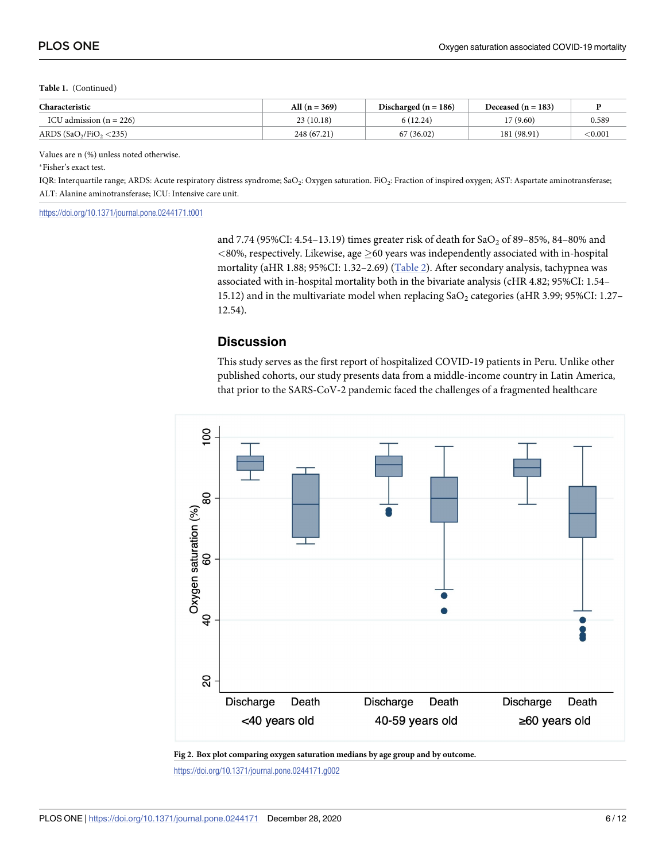<span id="page-5-0"></span>**Table 1.** (Continued)

| Characteristic            | All $(n = 369)$ | Discharged ( $n = 186$ ) | Deceased $(n = 183)$ |         |
|---------------------------|-----------------|--------------------------|----------------------|---------|
| ICU admission $(n = 226)$ | 23(10.18)       | 6(12.24)                 | 17(9.60)             | 0.589   |
| ARDS $(SaO2/FiO2 < 235)$  | 248 (67.21)     | 67 (36.02)               | 181 (98.91)          | < 0.001 |

Values are n (%) unless noted otherwise.

�Fisher's exact test.

IQR: Interquartile range; ARDS: Acute respiratory distress syndrome; SaO<sub>2</sub>: Oxygen saturation. FiO<sub>2</sub>: Fraction of inspired oxygen; AST: Aspartate aminotransferase; ALT: Alanine aminotransferase; ICU: Intensive care unit.

<https://doi.org/10.1371/journal.pone.0244171.t001>

and 7.74 (95%CI: 4.54–13.19) times greater risk of death for  $SaO<sub>2</sub>$  of 89–85%, 84–80% and  $<$ 80%, respectively. Likewise, age  $\geq$ 60 years was independently associated with in-hospital mortality (aHR 1.88; 95%CI: 1.32–2.69) ([Table](#page-6-0) 2). After secondary analysis, tachypnea was associated with in-hospital mortality both in the bivariate analysis (cHR 4.82; 95%CI: 1.54– 15.12) and in the multivariate model when replacing  $SaO<sub>2</sub>$  categories (aHR 3.99; 95%CI: 1.27– 12.54).

#### **Discussion**

This study serves as the first report of hospitalized COVID-19 patients in Peru. Unlike other published cohorts, our study presents data from a middle-income country in Latin America, that prior to the SARS-CoV-2 pandemic faced the challenges of a fragmented healthcare



**[Fig](#page-3-0) 2. Box plot comparing oxygen saturation medians by age group and by outcome.**

<https://doi.org/10.1371/journal.pone.0244171.g002>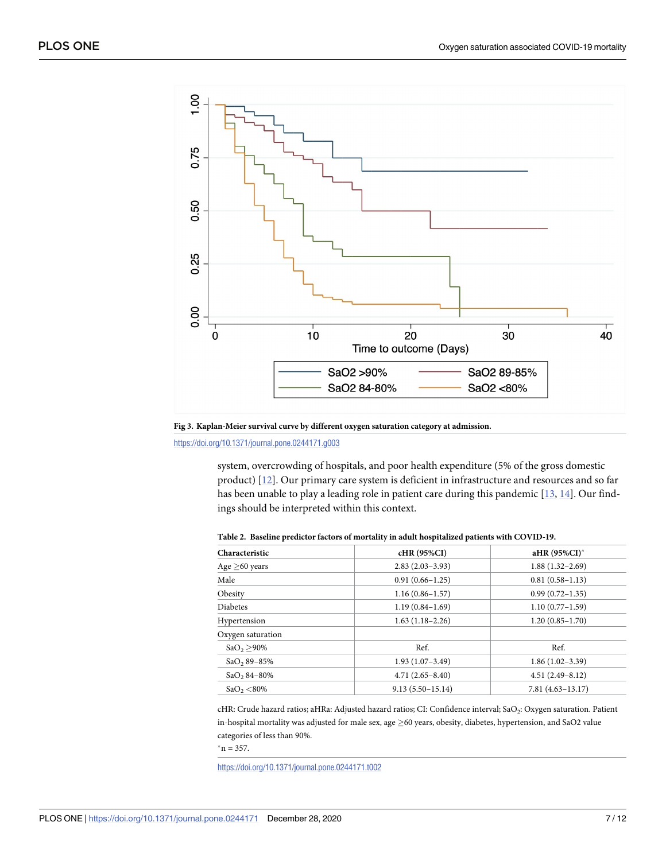<span id="page-6-0"></span>

**[Fig](#page-3-0) 3. Kaplan-Meier survival curve by different oxygen saturation category at admission.**

<https://doi.org/10.1371/journal.pone.0244171.g003>

system, overcrowding of hospitals, and poor health expenditure (5% of the gross domestic product) [[12](#page-10-0)]. Our primary care system is deficient in infrastructure and resources and so far has been unable to play a leading role in patient care during this pandemic [[13](#page-10-0), [14](#page-11-0)]. Our findings should be interpreted within this context.

| Characteristic          | cHR (95%CI)          | aHR (95%CI)*         |
|-------------------------|----------------------|----------------------|
| Age $\geq$ 60 years     | $2.83(2.03-3.93)$    | $1.88(1.32 - 2.69)$  |
| Male                    | $0.91(0.66 - 1.25)$  | $0.81(0.58-1.13)$    |
| Obesity                 | $1.16(0.86 - 1.57)$  | $0.99(0.72 - 1.35)$  |
| <b>Diabetes</b>         | $1.19(0.84 - 1.69)$  | $1.10(0.77-1.59)$    |
| Hypertension            | $1.63(1.18-2.26)$    | $1.20(0.85 - 1.70)$  |
| Oxygen saturation       |                      |                      |
| $SaO_2 > 90\%$          | Ref.                 | Ref.                 |
| SaO <sub>2</sub> 89-85% | $1.93(1.07-3.49)$    | $1.86(1.02-3.39)$    |
| $SaO, 84-80%$           | $4.71(2.65 - 8.40)$  | $4.51(2.49-8.12)$    |
| $SaO_2 < 80\%$          | $9.13(5.50 - 15.14)$ | $7.81(4.63 - 13.17)$ |
|                         |                      |                      |

**[Table](#page-5-0) 2. Baseline predictor factors of mortality in adult hospitalized patients with COVID-19.**

cHR: Crude hazard ratios; aHRa: Adjusted hazard ratios; CI: Confidence interval; SaO2: Oxygen saturation. Patient in-hospital mortality was adjusted for male sex, age  $\geq$  60 years, obesity, diabetes, hypertension, and SaO2 value categories of less than 90%.

 $n = 357$ .

<https://doi.org/10.1371/journal.pone.0244171.t002>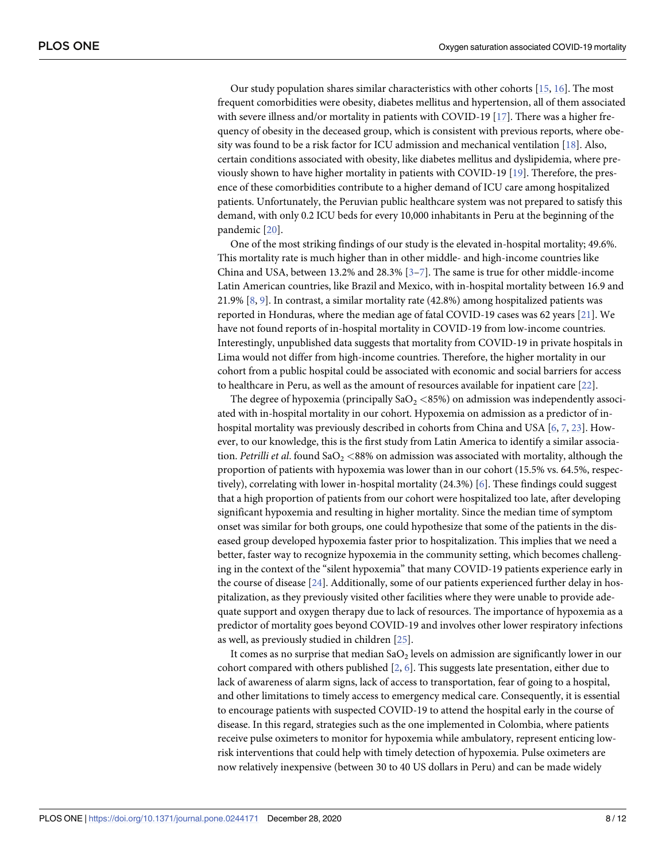<span id="page-7-0"></span>Our study population shares similar characteristics with other cohorts [\[15,](#page-11-0) [16\]](#page-11-0). The most frequent comorbidities were obesity, diabetes mellitus and hypertension, all of them associated with severe illness and/or mortality in patients with COVID-19 [\[17\]](#page-11-0). There was a higher frequency of obesity in the deceased group, which is consistent with previous reports, where obesity was found to be a risk factor for ICU admission and mechanical ventilation [\[18\]](#page-11-0). Also, certain conditions associated with obesity, like diabetes mellitus and dyslipidemia, where previously shown to have higher mortality in patients with COVID-19 [\[19\]](#page-11-0). Therefore, the presence of these comorbidities contribute to a higher demand of ICU care among hospitalized patients. Unfortunately, the Peruvian public healthcare system was not prepared to satisfy this demand, with only 0.2 ICU beds for every 10,000 inhabitants in Peru at the beginning of the pandemic [\[20\]](#page-11-0).

One of the most striking findings of our study is the elevated in-hospital mortality; 49.6%. This mortality rate is much higher than in other middle- and high-income countries like China and USA, between 13.2% and 28.3% [[3–7\]](#page-10-0). The same is true for other middle-income Latin American countries, like Brazil and Mexico, with in-hospital mortality between 16.9 and 21.9% [[8](#page-10-0), [9\]](#page-10-0). In contrast, a similar mortality rate (42.8%) among hospitalized patients was reported in Honduras, where the median age of fatal COVID-19 cases was 62 years [\[21\]](#page-11-0). We have not found reports of in-hospital mortality in COVID-19 from low-income countries. Interestingly, unpublished data suggests that mortality from COVID-19 in private hospitals in Lima would not differ from high-income countries. Therefore, the higher mortality in our cohort from a public hospital could be associated with economic and social barriers for access to healthcare in Peru, as well as the amount of resources available for inpatient care [[22](#page-11-0)].

The degree of hypoxemia (principally  $SaO<sub>2</sub> < 85%)$  on admission was independently associated with in-hospital mortality in our cohort. Hypoxemia on admission as a predictor of inhospital mortality was previously described in cohorts from China and USA [\[6,](#page-10-0) [7,](#page-10-0) [23\]](#page-11-0). However, to our knowledge, this is the first study from Latin America to identify a similar association. *Petrilli et al.* found SaO<sub>2</sub> <88% on admission was associated with mortality, although the proportion of patients with hypoxemia was lower than in our cohort (15.5% vs. 64.5%, respectively), correlating with lower in-hospital mortality (24.3%) [[6](#page-10-0)]. These findings could suggest that a high proportion of patients from our cohort were hospitalized too late, after developing significant hypoxemia and resulting in higher mortality. Since the median time of symptom onset was similar for both groups, one could hypothesize that some of the patients in the diseased group developed hypoxemia faster prior to hospitalization. This implies that we need a better, faster way to recognize hypoxemia in the community setting, which becomes challenging in the context of the "silent hypoxemia" that many COVID-19 patients experience early in the course of disease [[24](#page-11-0)]. Additionally, some of our patients experienced further delay in hospitalization, as they previously visited other facilities where they were unable to provide adequate support and oxygen therapy due to lack of resources. The importance of hypoxemia as a predictor of mortality goes beyond COVID-19 and involves other lower respiratory infections as well, as previously studied in children [\[25\]](#page-11-0).

It comes as no surprise that median  $SaO<sub>2</sub>$  levels on admission are significantly lower in our cohort compared with others published [[2](#page-10-0), [6\]](#page-10-0). This suggests late presentation, either due to lack of awareness of alarm signs, lack of access to transportation, fear of going to a hospital, and other limitations to timely access to emergency medical care. Consequently, it is essential to encourage patients with suspected COVID-19 to attend the hospital early in the course of disease. In this regard, strategies such as the one implemented in Colombia, where patients receive pulse oximeters to monitor for hypoxemia while ambulatory, represent enticing lowrisk interventions that could help with timely detection of hypoxemia. Pulse oximeters are now relatively inexpensive (between 30 to 40 US dollars in Peru) and can be made widely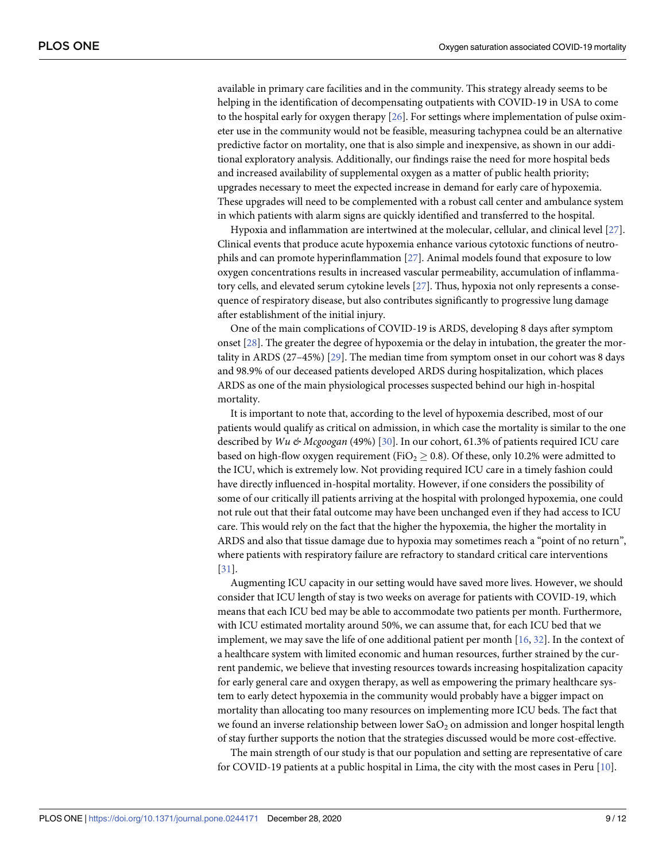<span id="page-8-0"></span>available in primary care facilities and in the community. This strategy already seems to be helping in the identification of decompensating outpatients with COVID-19 in USA to come to the hospital early for oxygen therapy [\[26\]](#page-11-0). For settings where implementation of pulse oximeter use in the community would not be feasible, measuring tachypnea could be an alternative predictive factor on mortality, one that is also simple and inexpensive, as shown in our additional exploratory analysis. Additionally, our findings raise the need for more hospital beds and increased availability of supplemental oxygen as a matter of public health priority; upgrades necessary to meet the expected increase in demand for early care of hypoxemia. These upgrades will need to be complemented with a robust call center and ambulance system in which patients with alarm signs are quickly identified and transferred to the hospital.

Hypoxia and inflammation are intertwined at the molecular, cellular, and clinical level [[27](#page-11-0)]. Clinical events that produce acute hypoxemia enhance various cytotoxic functions of neutrophils and can promote hyperinflammation [[27](#page-11-0)]. Animal models found that exposure to low oxygen concentrations results in increased vascular permeability, accumulation of inflammatory cells, and elevated serum cytokine levels [[27](#page-11-0)]. Thus, hypoxia not only represents a consequence of respiratory disease, but also contributes significantly to progressive lung damage after establishment of the initial injury.

One of the main complications of COVID-19 is ARDS, developing 8 days after symptom onset [[28](#page-11-0)]. The greater the degree of hypoxemia or the delay in intubation, the greater the mortality in ARDS (27–45%) [\[29\]](#page-11-0). The median time from symptom onset in our cohort was 8 days and 98.9% of our deceased patients developed ARDS during hospitalization, which places ARDS as one of the main physiological processes suspected behind our high in-hospital mortality.

It is important to note that, according to the level of hypoxemia described, most of our patients would qualify as critical on admission, in which case the mortality is similar to the one described by *Wu & Mcgoogan* (49%) [\[30\]](#page-11-0). In our cohort, 61.3% of patients required ICU care based on high-flow oxygen requirement (FiO<sub>2</sub>  $\geq$  0.8). Of these, only 10.2% were admitted to the ICU, which is extremely low. Not providing required ICU care in a timely fashion could have directly influenced in-hospital mortality. However, if one considers the possibility of some of our critically ill patients arriving at the hospital with prolonged hypoxemia, one could not rule out that their fatal outcome may have been unchanged even if they had access to ICU care. This would rely on the fact that the higher the hypoxemia, the higher the mortality in ARDS and also that tissue damage due to hypoxia may sometimes reach a "point of no return", where patients with respiratory failure are refractory to standard critical care interventions [\[31\]](#page-11-0).

Augmenting ICU capacity in our setting would have saved more lives. However, we should consider that ICU length of stay is two weeks on average for patients with COVID-19, which means that each ICU bed may be able to accommodate two patients per month. Furthermore, with ICU estimated mortality around 50%, we can assume that, for each ICU bed that we implement, we may save the life of one additional patient per month [[16](#page-11-0), [32](#page-11-0)]. In the context of a healthcare system with limited economic and human resources, further strained by the current pandemic, we believe that investing resources towards increasing hospitalization capacity for early general care and oxygen therapy, as well as empowering the primary healthcare system to early detect hypoxemia in the community would probably have a bigger impact on mortality than allocating too many resources on implementing more ICU beds. The fact that we found an inverse relationship between lower  $a_0$  on admission and longer hospital length of stay further supports the notion that the strategies discussed would be more cost-effective.

The main strength of our study is that our population and setting are representative of care for COVID-19 patients at a public hospital in Lima, the city with the most cases in Peru [[10](#page-10-0)].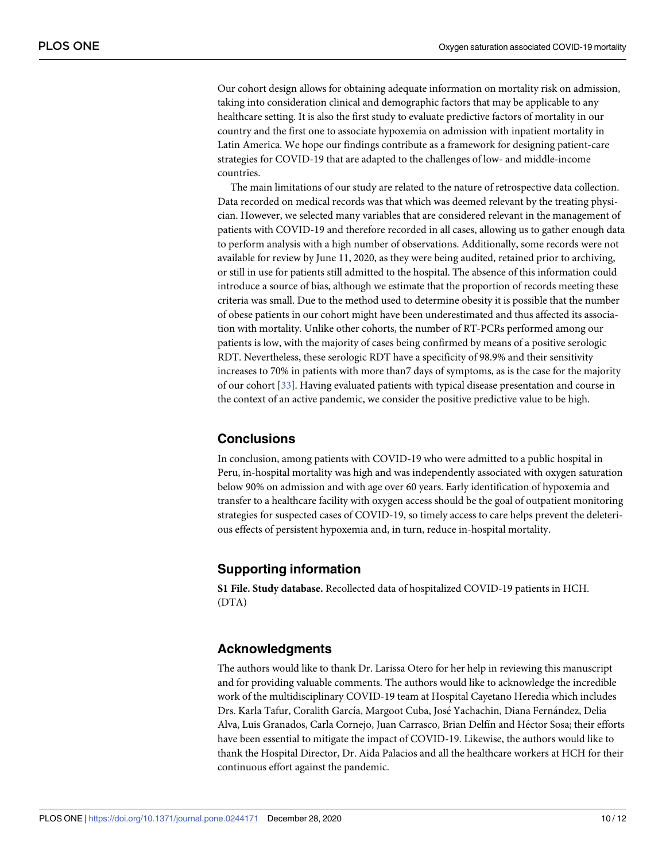<span id="page-9-0"></span>Our cohort design allows for obtaining adequate information on mortality risk on admission, taking into consideration clinical and demographic factors that may be applicable to any healthcare setting. It is also the first study to evaluate predictive factors of mortality in our country and the first one to associate hypoxemia on admission with inpatient mortality in Latin America. We hope our findings contribute as a framework for designing patient-care strategies for COVID-19 that are adapted to the challenges of low- and middle-income countries.

The main limitations of our study are related to the nature of retrospective data collection. Data recorded on medical records was that which was deemed relevant by the treating physician. However, we selected many variables that are considered relevant in the management of patients with COVID-19 and therefore recorded in all cases, allowing us to gather enough data to perform analysis with a high number of observations. Additionally, some records were not available for review by June 11, 2020, as they were being audited, retained prior to archiving, or still in use for patients still admitted to the hospital. The absence of this information could introduce a source of bias, although we estimate that the proportion of records meeting these criteria was small. Due to the method used to determine obesity it is possible that the number of obese patients in our cohort might have been underestimated and thus affected its association with mortality. Unlike other cohorts, the number of RT-PCRs performed among our patients is low, with the majority of cases being confirmed by means of a positive serologic RDT. Nevertheless, these serologic RDT have a specificity of 98.9% and their sensitivity increases to 70% in patients with more than7 days of symptoms, as is the case for the majority of our cohort [\[33\]](#page-11-0). Having evaluated patients with typical disease presentation and course in the context of an active pandemic, we consider the positive predictive value to be high.

# **Conclusions**

In conclusion, among patients with COVID-19 who were admitted to a public hospital in Peru, in-hospital mortality was high and was independently associated with oxygen saturation below 90% on admission and with age over 60 years. Early identification of hypoxemia and transfer to a healthcare facility with oxygen access should be the goal of outpatient monitoring strategies for suspected cases of COVID-19, so timely access to care helps prevent the deleterious effects of persistent hypoxemia and, in turn, reduce in-hospital mortality.

# **Supporting information**

**S1 [File.](http://www.plosone.org/article/fetchSingleRepresentation.action?uri=info:doi/10.1371/journal.pone.0244171.s001) Study database.** Recollected data of hospitalized COVID-19 patients in HCH. (DTA)

# **Acknowledgments**

The authors would like to thank Dr. Larissa Otero for her help in reviewing this manuscript and for providing valuable comments. The authors would like to acknowledge the incredible work of the multidisciplinary COVID-19 team at Hospital Cayetano Heredia which includes Drs. Karla Tafur, Coralith García, Margoot Cuba, José Yachachin, Diana Fernández, Delia Alva, Luis Granados, Carla Cornejo, Juan Carrasco, Brian Delfín and Héctor Sosa; their efforts have been essential to mitigate the impact of COVID-19. Likewise, the authors would like to thank the Hospital Director, Dr. Aida Palacios and all the healthcare workers at HCH for their continuous effort against the pandemic.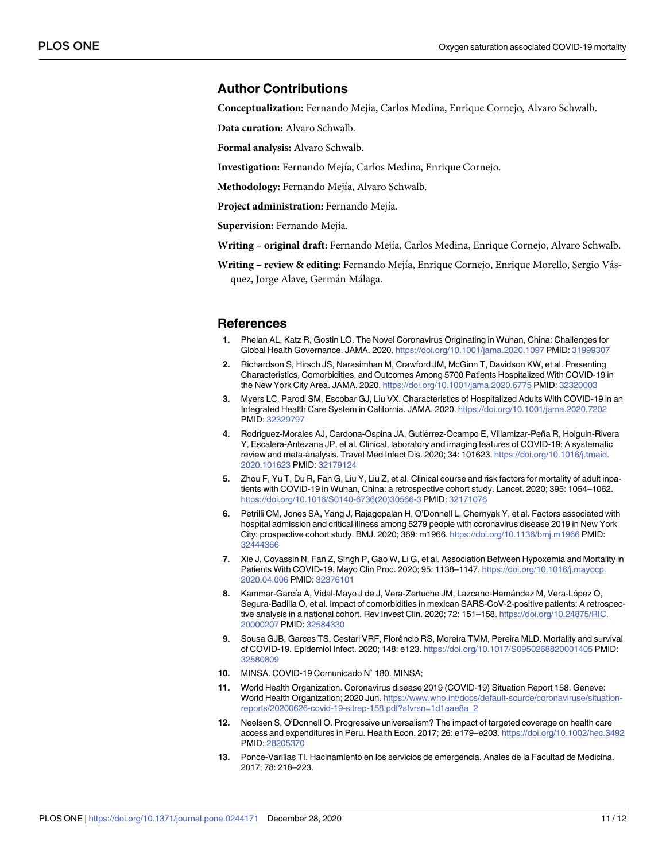#### <span id="page-10-0"></span>**Author Contributions**

**Conceptualization:** Fernando Mejı´a, Carlos Medina, Enrique Cornejo, Alvaro Schwalb.

**Data curation:** Alvaro Schwalb.

**Formal analysis:** Alvaro Schwalb.

Investigation: Fernando Mejía, Carlos Medina, Enrique Cornejo.

Methodology: Fernando Mejía, Alvaro Schwalb.

Project *administration*: Fernando Mejía.

Supervision: Fernando Mejía.

**Writing – original draft:** Fernando Mejı´a, Carlos Medina, Enrique Cornejo, Alvaro Schwalb.

Writing - review & editing: Fernando Mejía, Enrique Cornejo, Enrique Morello, Sergio Vásquez, Jorge Alave, Germán Málaga.

#### **References**

- **[1](#page-1-0).** Phelan AL, Katz R, Gostin LO. The Novel Coronavirus Originating in Wuhan, China: Challenges for Global Health Governance. JAMA. 2020. <https://doi.org/10.1001/jama.2020.1097> PMID: [31999307](http://www.ncbi.nlm.nih.gov/pubmed/31999307)
- **[2](#page-1-0).** Richardson S, Hirsch JS, Narasimhan M, Crawford JM, McGinn T, Davidson KW, et al. Presenting Characteristics, Comorbidities, and Outcomes Among 5700 Patients Hospitalized With COVID-19 in the New York City Area. JAMA. 2020. <https://doi.org/10.1001/jama.2020.6775> PMID: [32320003](http://www.ncbi.nlm.nih.gov/pubmed/32320003)
- **[3](#page-1-0).** Myers LC, Parodi SM, Escobar GJ, Liu VX. Characteristics of Hospitalized Adults With COVID-19 in an Integrated Health Care System in California. JAMA. 2020. <https://doi.org/10.1001/jama.2020.7202> PMID: [32329797](http://www.ncbi.nlm.nih.gov/pubmed/32329797)
- 4. Rodriguez-Morales AJ, Cardona-Ospina JA, Gutiérrez-Ocampo E, Villamizar-Peña R, Holguin-Rivera Y, Escalera-Antezana JP, et al. Clinical, laboratory and imaging features of COVID-19: A systematic review and meta-analysis. Travel Med Infect Dis. 2020; 34: 101623. [https://doi.org/10.1016/j.tmaid.](https://doi.org/10.1016/j.tmaid.2020.101623) [2020.101623](https://doi.org/10.1016/j.tmaid.2020.101623) PMID: [32179124](http://www.ncbi.nlm.nih.gov/pubmed/32179124)
- **5.** Zhou F, Yu T, Du R, Fan G, Liu Y, Liu Z, et al. Clinical course and risk factors for mortality of adult inpatients with COVID-19 in Wuhan, China: a retrospective cohort study. Lancet. 2020; 395: 1054–1062. [https://doi.org/10.1016/S0140-6736\(20\)30566-3](https://doi.org/10.1016/S0140-6736%2820%2930566-3) PMID: [32171076](http://www.ncbi.nlm.nih.gov/pubmed/32171076)
- **[6](#page-7-0).** Petrilli CM, Jones SA, Yang J, Rajagopalan H, O'Donnell L, Chernyak Y, et al. Factors associated with hospital admission and critical illness among 5279 people with coronavirus disease 2019 in New York City: prospective cohort study. BMJ. 2020; 369: m1966. <https://doi.org/10.1136/bmj.m1966> PMID: [32444366](http://www.ncbi.nlm.nih.gov/pubmed/32444366)
- **[7](#page-1-0).** Xie J, Covassin N, Fan Z, Singh P, Gao W, Li G, et al. Association Between Hypoxemia and Mortality in Patients With COVID-19. Mayo Clin Proc. 2020; 95: 1138–1147. [https://doi.org/10.1016/j.mayocp.](https://doi.org/10.1016/j.mayocp.2020.04.006) [2020.04.006](https://doi.org/10.1016/j.mayocp.2020.04.006) PMID: [32376101](http://www.ncbi.nlm.nih.gov/pubmed/32376101)
- [8](#page-1-0). Kammar-García A, Vidal-Mayo J de J, Vera-Zertuche JM, Lazcano-Hernández M, Vera-López O, Segura-Badilla O, et al. Impact of comorbidities in mexican SARS-CoV-2-positive patients: A retrospective analysis in a national cohort. Rev Invest Clin. 2020; 72: 151–158. [https://doi.org/10.24875/RIC.](https://doi.org/10.24875/RIC.20000207) [20000207](https://doi.org/10.24875/RIC.20000207) PMID: [32584330](http://www.ncbi.nlm.nih.gov/pubmed/32584330)
- **[9](#page-1-0).** Sousa GJB, Garces TS, Cestari VRF, Florêncio RS, Moreira TMM, Pereira MLD. Mortality and survival of COVID-19. Epidemiol Infect. 2020; 148: e123. <https://doi.org/10.1017/S0950268820001405> PMID: [32580809](http://www.ncbi.nlm.nih.gov/pubmed/32580809)
- **[10](#page-1-0).** MINSA. COVID-19 Comunicado N˚ 180. MINSA;
- **[11](#page-1-0).** World Health Organization. Coronavirus disease 2019 (COVID-19) Situation Report 158. Geneve: World Health Organization; 2020 Jun. [https://www.who.int/docs/default-source/coronaviruse/situation](https://www.who.int/docs/default-source/coronaviruse/situation-reports/20200626-covid-19-sitrep-158.pdf?sfvrsn=1d1aae8a_2)[reports/20200626-covid-19-sitrep-158.pdf?sfvrsn=1d1aae8a\\_2](https://www.who.int/docs/default-source/coronaviruse/situation-reports/20200626-covid-19-sitrep-158.pdf?sfvrsn=1d1aae8a_2)
- **[12](#page-6-0).** Neelsen S, O'Donnell O. Progressive universalism? The impact of targeted coverage on health care access and expenditures in Peru. Health Econ. 2017; 26: e179–e203. <https://doi.org/10.1002/hec.3492> PMID: [28205370](http://www.ncbi.nlm.nih.gov/pubmed/28205370)
- **[13](#page-6-0).** Ponce-Varillas TI. Hacinamiento en los servicios de emergencia. Anales de la Facultad de Medicina. 2017; 78: 218–223.